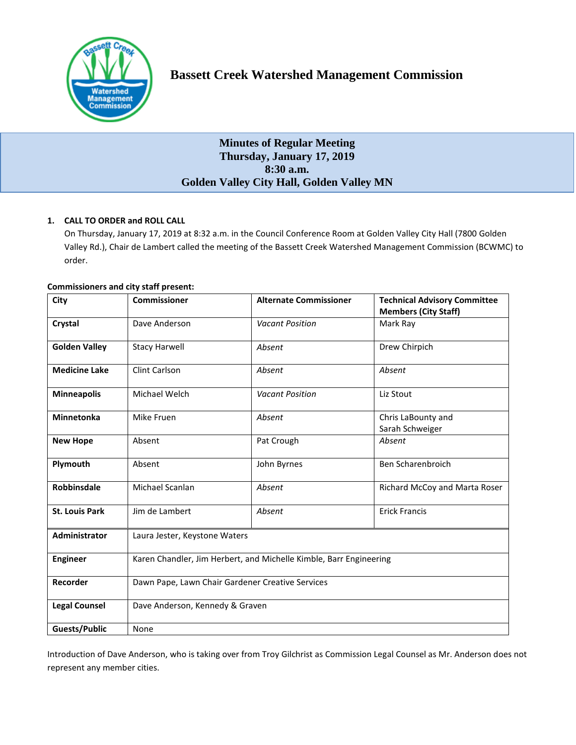

# **Minutes of Regular Meeting Thursday, January 17, 2019 8:30 a.m. Golden Valley City Hall, Golden Valley MN**

# **1. CALL TO ORDER and ROLL CALL**

On Thursday, January 17, 2019 at 8:32 a.m. in the Council Conference Room at Golden Valley City Hall (7800 Golden Valley Rd.), Chair de Lambert called the meeting of the Bassett Creek Watershed Management Commission (BCWMC) to order.

| City                  | <b>Commissioner</b>                                                | <b>Alternate Commissioner</b> | <b>Technical Advisory Committee</b><br><b>Members (City Staff)</b> |
|-----------------------|--------------------------------------------------------------------|-------------------------------|--------------------------------------------------------------------|
| Crystal               | Dave Anderson                                                      | <b>Vacant Position</b>        | Mark Ray                                                           |
| <b>Golden Valley</b>  | <b>Stacy Harwell</b>                                               | Absent                        | Drew Chirpich                                                      |
| <b>Medicine Lake</b>  | <b>Clint Carlson</b>                                               | Absent                        | Absent                                                             |
| <b>Minneapolis</b>    | Michael Welch                                                      | <b>Vacant Position</b>        | Liz Stout                                                          |
| <b>Minnetonka</b>     | Mike Fruen                                                         | Absent                        | Chris LaBounty and<br>Sarah Schweiger                              |
| <b>New Hope</b>       | Absent                                                             | Pat Crough                    | Absent                                                             |
| Plymouth              | Absent                                                             | John Byrnes                   | Ben Scharenbroich                                                  |
| <b>Robbinsdale</b>    | Michael Scanlan                                                    | Absent                        | Richard McCoy and Marta Roser                                      |
| <b>St. Louis Park</b> | Jim de Lambert                                                     | Absent                        | <b>Erick Francis</b>                                               |
| <b>Administrator</b>  | Laura Jester, Keystone Waters                                      |                               |                                                                    |
| <b>Engineer</b>       | Karen Chandler, Jim Herbert, and Michelle Kimble, Barr Engineering |                               |                                                                    |
| Recorder              | Dawn Pape, Lawn Chair Gardener Creative Services                   |                               |                                                                    |
| <b>Legal Counsel</b>  | Dave Anderson, Kennedy & Graven                                    |                               |                                                                    |
| Guests/Public         | None                                                               |                               |                                                                    |

# **Commissioners and city staff present:**

Introduction of Dave Anderson, who is taking over from Troy Gilchrist as Commission Legal Counsel as Mr. Anderson does not represent any member cities.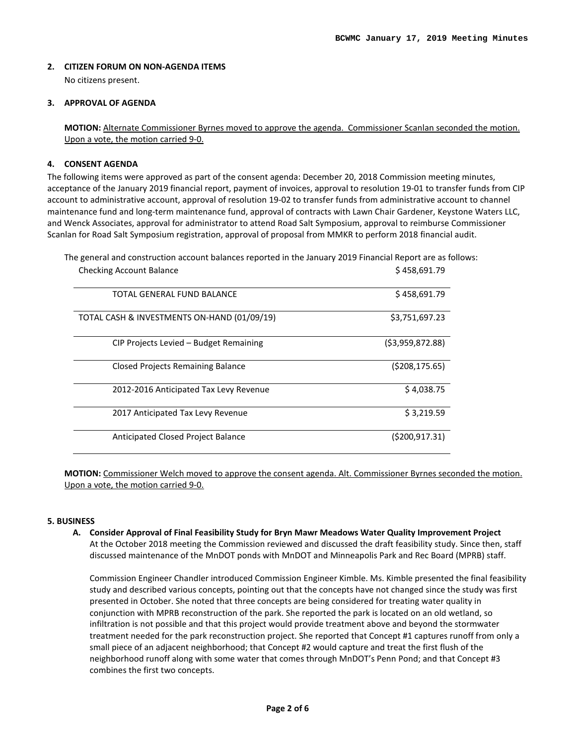# **2. CITIZEN FORUM ON NON-AGENDA ITEMS**

No citizens present.

# **3. APPROVAL OF AGENDA**

**MOTION:** Alternate Commissioner Byrnes moved to approve the agenda. Commissioner Scanlan seconded the motion. Upon a vote, the motion carried 9-0.

# **4. CONSENT AGENDA**

The following items were approved as part of the consent agenda: December 20, 2018 Commission meeting minutes, acceptance of the January 2019 financial report, payment of invoices, approval to resolution 19-01 to transfer funds from CIP account to administrative account, approval of resolution 19-02 to transfer funds from administrative account to channel maintenance fund and long-term maintenance fund, approval of contracts with Lawn Chair Gardener, Keystone Waters LLC, and Wenck Associates, approval for administrator to attend Road Salt Symposium, approval to reimburse Commissioner Scanlan for Road Salt Symposium registration, approval of proposal from MMKR to perform 2018 financial audit.

The general and construction account balances reported in the January 2019 Financial Report are as follows:

| <b>Checking Account Balance</b>             | \$458,691.79    |
|---------------------------------------------|-----------------|
| TOTAL GENERAL FUND BALANCE                  | \$458,691.79    |
| TOTAL CASH & INVESTMENTS ON-HAND (01/09/19) | \$3,751,697.23  |
| CIP Projects Levied – Budget Remaining      | (53,959,872.88) |
| <b>Closed Projects Remaining Balance</b>    | (5208, 175.65)  |
| 2012-2016 Anticipated Tax Levy Revenue      | \$4,038.75      |
| 2017 Anticipated Tax Levy Revenue           | \$3,219.59      |
| <b>Anticipated Closed Project Balance</b>   | (5200, 917.31)  |

**MOTION:** Commissioner Welch moved to approve the consent agenda. Alt. Commissioner Byrnes seconded the motion. Upon a vote, the motion carried 9-0.

## **5. BUSINESS**

**A. Consider Approval of Final Feasibility Study for Bryn Mawr Meadows Water Quality Improvement Project** At the October 2018 meeting the Commission reviewed and discussed the draft feasibility study. Since then, staff discussed maintenance of the MnDOT ponds with MnDOT and Minneapolis Park and Rec Board (MPRB) staff.

Commission Engineer Chandler introduced Commission Engineer Kimble. Ms. Kimble presented the final feasibility study and described various concepts, pointing out that the concepts have not changed since the study was first presented in October. She noted that three concepts are being considered for treating water quality in conjunction with MPRB reconstruction of the park. She reported the park is located on an old wetland, so infiltration is not possible and that this project would provide treatment above and beyond the stormwater treatment needed for the park reconstruction project. She reported that Concept #1 captures runoff from only a small piece of an adjacent neighborhood; that Concept #2 would capture and treat the first flush of the neighborhood runoff along with some water that comes through MnDOT's Penn Pond; and that Concept #3 combines the first two concepts.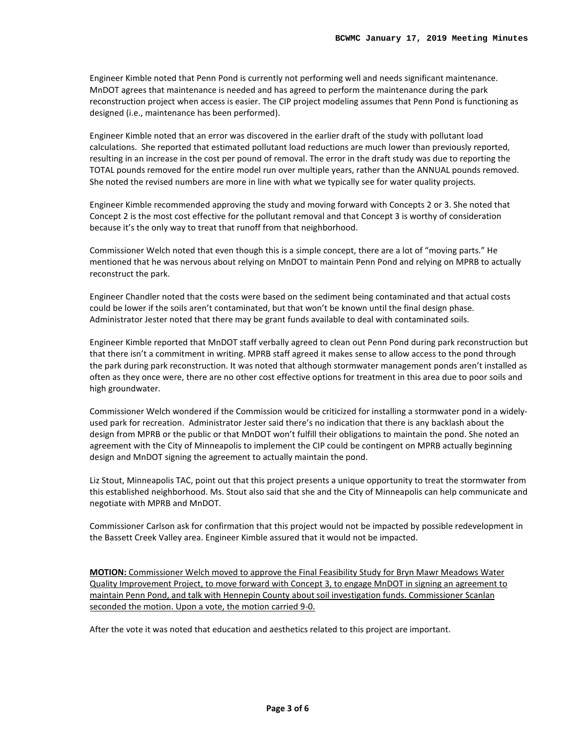Engineer Kimble noted that Penn Pond is currently not performing well and needs significant maintenance. MnDOT agrees that maintenance is needed and has agreed to perform the maintenance during the park reconstruction project when access is easier. The CIP project modeling assumes that Penn Pond is functioning as designed (i.e., maintenance has been performed).

Engineer Kimble noted that an error was discovered in the earlier draft of the study with pollutant load calculations. She reported that estimated pollutant load reductions are much lower than previously reported, resulting in an increase in the cost per pound of removal. The error in the draft study was due to reporting the TOTAL pounds removed for the entire model run over multiple years, rather than the ANNUAL pounds removed. She noted the revised numbers are more in line with what we typically see for water quality projects.

Engineer Kimble recommended approving the study and moving forward with Concepts 2 or 3. She noted that Concept 2 is the most cost effective for the pollutant removal and that Concept 3 is worthy of consideration because it's the only way to treat that runoff from that neighborhood.

Commissioner Welch noted that even though this is a simple concept, there are a lot of "moving parts." He mentioned that he was nervous about relying on MnDOT to maintain Penn Pond and relying on MPRB to actually reconstruct the park.

Engineer Chandler noted that the costs were based on the sediment being contaminated and that actual costs could be lower if the soils aren't contaminated, but that won't be known until the final design phase. Administrator Jester noted that there may be grant funds available to deal with contaminated soils.

Engineer Kimble reported that MnDOT staff verbally agreed to clean out Penn Pond during park reconstruction but that there isn't a commitment in writing. MPRB staff agreed it makes sense to allow access to the pond through the park during park reconstruction. It was noted that although stormwater management ponds aren't installed as often as they once were, there are no other cost effective options for treatment in this area due to poor soils and high groundwater.

Commissioner Welch wondered if the Commission would be criticized for installing a stormwater pond in a widelyused park for recreation. Administrator Jester said there's no indication that there is any backlash about the design from MPRB or the public or that MnDOT won't fulfill their obligations to maintain the pond. She noted an agreement with the City of Minneapolis to implement the CIP could be contingent on MPRB actually beginning design and MnDOT signing the agreement to actually maintain the pond.

Liz Stout, Minneapolis TAC, point out that this project presents a unique opportunity to treat the stormwater from this established neighborhood. Ms. Stout also said that she and the City of Minneapolis can help communicate and negotiate with MPRB and MnDOT.

Commissioner Carlson ask for confirmation that this project would not be impacted by possible redevelopment in the Bassett Creek Valley area. Engineer Kimble assured that it would not be impacted.

**MOTION:** Commissioner Welch moved to approve the Final Feasibility Study for Bryn Mawr Meadows Water Quality Improvement Project, to move forward with Concept 3, to engage MnDOT in signing an agreement to maintain Penn Pond, and talk with Hennepin County about soil investigation funds. Commissioner Scanlan seconded the motion. Upon a vote, the motion carried 9-0.

After the vote it was noted that education and aesthetics related to this project are important.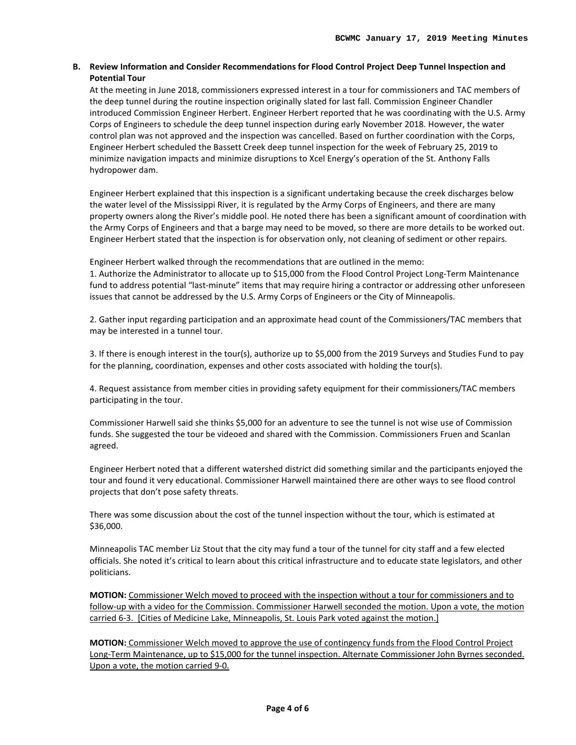# **B. Review Information and Consider Recommendations for Flood Control Project Deep Tunnel Inspection and Potential Tour**

At the meeting in June 2018, commissioners expressed interest in a tour for commissioners and TAC members of the deep tunnel during the routine inspection originally slated for last fall. Commission Engineer Chandler introduced Commission Engineer Herbert. Engineer Herbert reported that he was coordinating with the U.S. Army Corps of Engineers to schedule the deep tunnel inspection during early November 2018. However, the water control plan was not approved and the inspection was cancelled. Based on further coordination with the Corps, Engineer Herbert scheduled the Bassett Creek deep tunnel inspection for the week of February 25, 2019 to minimize navigation impacts and minimize disruptions to Xcel Energy's operation of the St. Anthony Falls hydropower dam.

Engineer Herbert explained that this inspection is a significant undertaking because the creek discharges below the water level of the Mississippi River, it is regulated by the Army Corps of Engineers, and there are many property owners along the River's middle pool. He noted there has been a significant amount of coordination with the Army Corps of Engineers and that a barge may need to be moved, so there are more details to be worked out. Engineer Herbert stated that the inspection is for observation only, not cleaning of sediment or other repairs.

Engineer Herbert walked through the recommendations that are outlined in the memo:

1. Authorize the Administrator to allocate up to \$15,000 from the Flood Control Project Long-Term Maintenance fund to address potential "last-minute" items that may require hiring a contractor or addressing other unforeseen issues that cannot be addressed by the U.S. Army Corps of Engineers or the City of Minneapolis.

2. Gather input regarding participation and an approximate head count of the Commissioners/TAC members that may be interested in a tunnel tour.

3. If there is enough interest in the tour(s), authorize up to \$5,000 from the 2019 Surveys and Studies Fund to pay for the planning, coordination, expenses and other costs associated with holding the tour(s).

4. Request assistance from member cities in providing safety equipment for their commissioners/TAC members participating in the tour.

Commissioner Harwell said she thinks \$5,000 for an adventure to see the tunnel is not wise use of Commission funds. She suggested the tour be videoed and shared with the Commission. Commissioners Fruen and Scanlan agreed.

Engineer Herbert noted that a different watershed district did something similar and the participants enjoyed the tour and found it very educational. Commissioner Harwell maintained there are other ways to see flood control projects that don't pose safety threats.

There was some discussion about the cost of the tunnel inspection without the tour, which is estimated at \$36,000.

Minneapolis TAC member Liz Stout that the city may fund a tour of the tunnel for city staff and a few elected officials. She noted it's critical to learn about this critical infrastructure and to educate state legislators, and other politicians.

**MOTION:** Commissioner Welch moved to proceed with the inspection without a tour for commissioners and to follow-up with a video for the Commission. Commissioner Harwell seconded the motion. Upon a vote, the motion carried 6-3. [Cities of Medicine Lake, Minneapolis, St. Louis Park voted against the motion.]

**MOTION:** Commissioner Welch moved to approve the use of contingency funds from the Flood Control Project Long-Term Maintenance, up to \$15,000 for the tunnel inspection. Alternate Commissioner John Byrnes seconded. Upon a vote, the motion carried 9-0.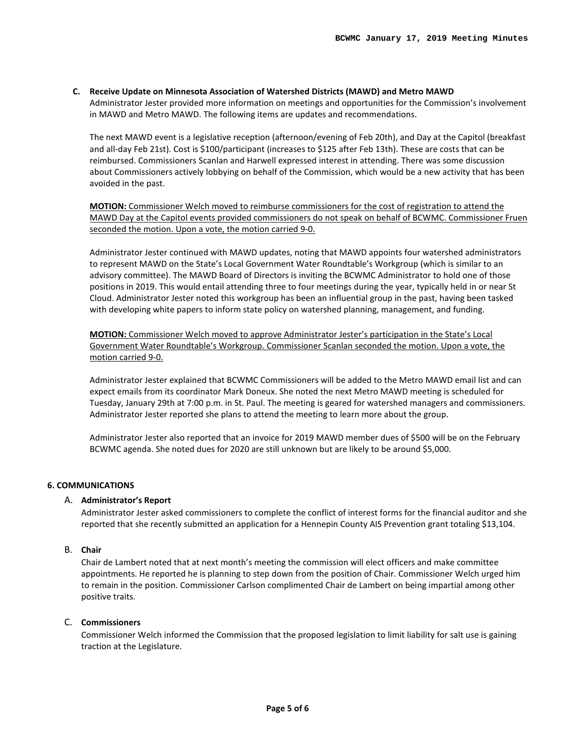# **C. Receive Update on Minnesota Association of Watershed Districts (MAWD) and Metro MAWD**

Administrator Jester provided more information on meetings and opportunities for the Commission's involvement in MAWD and Metro MAWD. The following items are updates and recommendations.

The next MAWD event is a legislative reception (afternoon/evening of Feb 20th), and Day at the Capitol (breakfast and all-day Feb 21st). Cost is \$100/participant (increases to \$125 after Feb 13th). These are costs that can be reimbursed. Commissioners Scanlan and Harwell expressed interest in attending. There was some discussion about Commissioners actively lobbying on behalf of the Commission, which would be a new activity that has been avoided in the past.

**MOTION:** Commissioner Welch moved to reimburse commissioners for the cost of registration to attend the MAWD Day at the Capitol events provided commissioners do not speak on behalf of BCWMC. Commissioner Fruen seconded the motion. Upon a vote, the motion carried 9-0.

Administrator Jester continued with MAWD updates, noting that MAWD appoints four watershed administrators to represent MAWD on the State's Local Government Water Roundtable's Workgroup (which is similar to an advisory committee). The MAWD Board of Directors is inviting the BCWMC Administrator to hold one of those positions in 2019. This would entail attending three to four meetings during the year, typically held in or near St Cloud. Administrator Jester noted this workgroup has been an influential group in the past, having been tasked with developing white papers to inform state policy on watershed planning, management, and funding.

**MOTION:** Commissioner Welch moved to approve Administrator Jester's participation in the State's Local Government Water Roundtable's Workgroup. Commissioner Scanlan seconded the motion. Upon a vote, the motion carried 9-0.

Administrator Jester explained that BCWMC Commissioners will be added to the Metro MAWD email list and can expect emails from its coordinator Mark Doneux. She noted the next Metro MAWD meeting is scheduled for Tuesday, January 29th at 7:00 p.m. in St. Paul. The meeting is geared for watershed managers and commissioners. Administrator Jester reported she plans to attend the meeting to learn more about the group.

Administrator Jester also reported that an invoice for 2019 MAWD member dues of \$500 will be on the February BCWMC agenda. She noted dues for 2020 are still unknown but are likely to be around \$5,000.

#### **6. COMMUNICATIONS**

#### A. **Administrator's Report**

Administrator Jester asked commissioners to complete the conflict of interest forms for the financial auditor and she reported that she recently submitted an application for a Hennepin County AIS Prevention grant totaling \$13,104.

#### B. **Chair**

Chair de Lambert noted that at next month's meeting the commission will elect officers and make committee appointments. He reported he is planning to step down from the position of Chair. Commissioner Welch urged him to remain in the position. Commissioner Carlson complimented Chair de Lambert on being impartial among other positive traits.

## C. **Commissioners**

Commissioner Welch informed the Commission that the proposed legislation to limit liability for salt use is gaining traction at the Legislature.